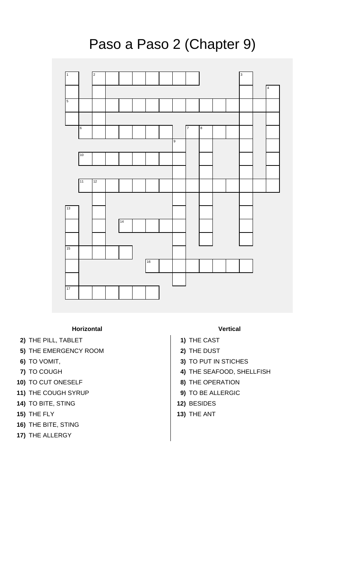

## Paso a Paso 2 (Chapter 9)

## **Horizontal Vertical**

- **2)** THE PILL, TABLET **1)** THE CAST
- **5)** THE EMERGENCY ROOM **2)** THE DUST
- 
- 
- **10)** TO CUT ONESELF **8)** THE OPERATION
- **11)** THE COUGH SYRUP **9)** TO BE ALLERGIC
- **14)** TO BITE, STING **12)** BESIDES
- **15)** THE FLY **13)** THE ANT
- **16)** THE BITE, STING
- **17)** THE ALLERGY

- 
- 
- **6)** TO VOMIT, **3)** TO PUT IN STICHES
- **7)** TO COUGH **4)** THE SEAFOOD, SHELLFISH
	-
	-
	-
	-